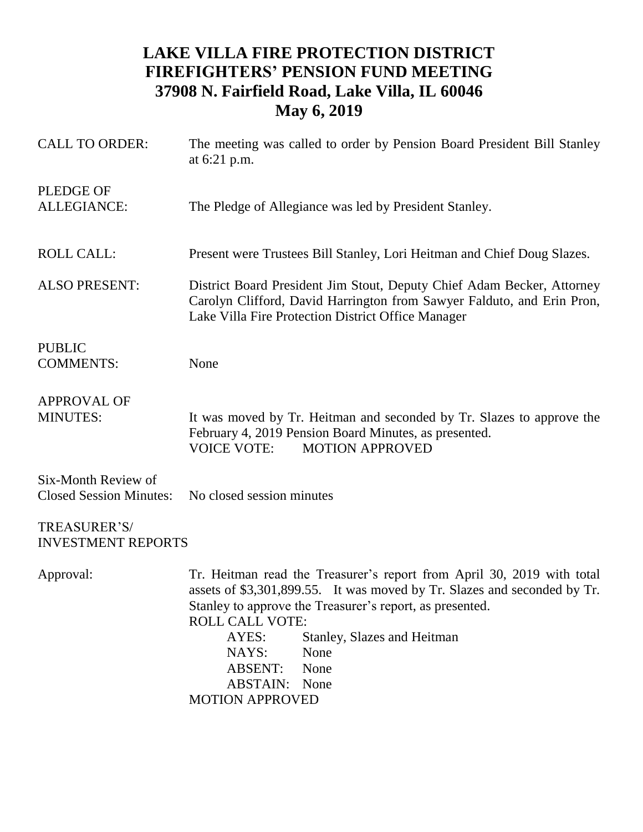## **LAKE VILLA FIRE PROTECTION DISTRICT FIREFIGHTERS' PENSION FUND MEETING 37908 N. Fairfield Road, Lake Villa, IL 60046 May 6, 2019**

| <b>CALL TO ORDER:</b>                                 | The meeting was called to order by Pension Board President Bill Stanley<br>at 6:21 p.m.                                                                                                                                                                                                                                                                                       |
|-------------------------------------------------------|-------------------------------------------------------------------------------------------------------------------------------------------------------------------------------------------------------------------------------------------------------------------------------------------------------------------------------------------------------------------------------|
| <b>PLEDGE OF</b><br><b>ALLEGIANCE:</b>                | The Pledge of Allegiance was led by President Stanley.                                                                                                                                                                                                                                                                                                                        |
| <b>ROLL CALL:</b>                                     | Present were Trustees Bill Stanley, Lori Heitman and Chief Doug Slazes.                                                                                                                                                                                                                                                                                                       |
| <b>ALSO PRESENT:</b>                                  | District Board President Jim Stout, Deputy Chief Adam Becker, Attorney<br>Carolyn Clifford, David Harrington from Sawyer Falduto, and Erin Pron,<br>Lake Villa Fire Protection District Office Manager                                                                                                                                                                        |
| <b>PUBLIC</b><br><b>COMMENTS:</b>                     | None                                                                                                                                                                                                                                                                                                                                                                          |
| <b>APPROVAL OF</b><br><b>MINUTES:</b>                 | It was moved by Tr. Heitman and seconded by Tr. Slazes to approve the<br>February 4, 2019 Pension Board Minutes, as presented.<br><b>VOICE VOTE:</b><br><b>MOTION APPROVED</b>                                                                                                                                                                                                |
| Six-Month Review of<br><b>Closed Session Minutes:</b> | No closed session minutes                                                                                                                                                                                                                                                                                                                                                     |
| TREASURER'S/<br><b>INVESTMENT REPORTS</b>             |                                                                                                                                                                                                                                                                                                                                                                               |
| Approval:                                             | Tr. Heitman read the Treasurer's report from April 30, 2019 with total<br>assets of \$3,301,899.55. It was moved by Tr. Slazes and seconded by Tr.<br>Stanley to approve the Treasurer's report, as presented.<br><b>ROLL CALL VOTE:</b><br>AYES:<br>Stanley, Slazes and Heitman<br>NAYS:<br>None<br><b>ABSENT:</b><br>None<br><b>ABSTAIN:</b> None<br><b>MOTION APPROVED</b> |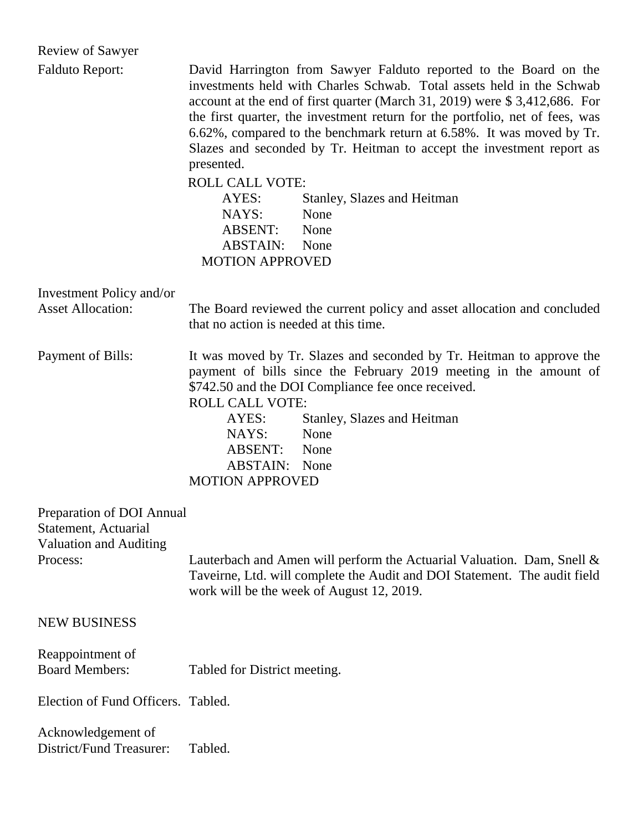| <b>Review of Sawyer</b>                                                                        |                                                                                                                                                                                                                                                                                                                                                                                                                                                                          |
|------------------------------------------------------------------------------------------------|--------------------------------------------------------------------------------------------------------------------------------------------------------------------------------------------------------------------------------------------------------------------------------------------------------------------------------------------------------------------------------------------------------------------------------------------------------------------------|
| <b>Falduto Report:</b>                                                                         | David Harrington from Sawyer Falduto reported to the Board on the<br>investments held with Charles Schwab. Total assets held in the Schwab<br>account at the end of first quarter (March 31, 2019) were \$3,412,686. For<br>the first quarter, the investment return for the portfolio, net of fees, was<br>6.62%, compared to the benchmark return at 6.58%. It was moved by Tr.<br>Slazes and seconded by Tr. Heitman to accept the investment report as<br>presented. |
|                                                                                                | <b>ROLL CALL VOTE:</b><br>AYES:<br>Stanley, Slazes and Heitman<br>NAYS:<br>None<br>ABSENT:<br>None<br><b>ABSTAIN:</b><br>None<br><b>MOTION APPROVED</b>                                                                                                                                                                                                                                                                                                                  |
| Investment Policy and/or<br><b>Asset Allocation:</b>                                           | The Board reviewed the current policy and asset allocation and concluded<br>that no action is needed at this time.                                                                                                                                                                                                                                                                                                                                                       |
| Payment of Bills:                                                                              | It was moved by Tr. Slazes and seconded by Tr. Heitman to approve the<br>payment of bills since the February 2019 meeting in the amount of<br>\$742.50 and the DOI Compliance fee once received.<br><b>ROLL CALL VOTE:</b><br>AYES:<br>Stanley, Slazes and Heitman<br>NAYS:<br>None<br>ABSENT:<br>None<br><b>ABSTAIN:</b> None<br><b>MOTION APPROVED</b>                                                                                                                 |
| Preparation of DOI Annual<br>Statement, Actuarial<br><b>Valuation and Auditing</b><br>Process: | Lauterbach and Amen will perform the Actuarial Valuation. Dam, Snell &<br>Taveirne, Ltd. will complete the Audit and DOI Statement. The audit field<br>work will be the week of August 12, 2019.                                                                                                                                                                                                                                                                         |
| <b>NEW BUSINESS</b>                                                                            |                                                                                                                                                                                                                                                                                                                                                                                                                                                                          |
| Reappointment of<br><b>Board Members:</b>                                                      | Tabled for District meeting.                                                                                                                                                                                                                                                                                                                                                                                                                                             |
| Election of Fund Officers. Tabled.                                                             |                                                                                                                                                                                                                                                                                                                                                                                                                                                                          |
| Acknowledgement of<br>District/Fund Treasurer:                                                 | Tabled.                                                                                                                                                                                                                                                                                                                                                                                                                                                                  |